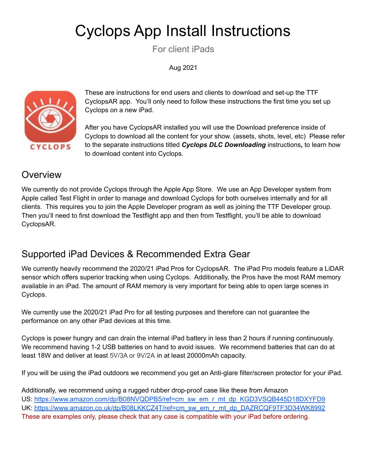# Cyclops App Install Instructions

For client iPads

Aug 2021



These are instructions for end users and clients to download and set-up the TTF CyclopsAR app. You'll only need to follow these instructions the first time you set up Cyclops on a new iPad.

After you have CyclopsAR installed you will use the Download preference inside of Cyclops to download all the content for your show. (assets, shots, level, etc) Please refer to the separate instructions titled *Cyclops DLC Downloading* instructions*,* to learn how to download content into Cyclops.

#### **Overview**

We currently do not provide Cyclops through the Apple App Store. We use an App Developer system from Apple called Test Flight in order to manage and download Cyclops for both ourselves internally and for all clients. This requires you to join the Apple Developer program as well as joining the TTF Developer group. Then you'll need to first download the Testflight app and then from Testflight, you'll be able to download CyclopsAR.

## Supported iPad Devices & Recommended Extra Gear

We currently heavily recommend the 2020/21 iPad Pros for CyclopsAR. The iPad Pro models feature a LiDAR sensor which offers superior tracking when using Cyclops. Additionally, the Pros have the most RAM memory available in an iPad. The amount of RAM memory is very important for being able to open large scenes in Cyclops.

We currently use the 2020/21 iPad Pro for all testing purposes and therefore can not guarantee the performance on any other iPad devices at this time.

Cyclops is power hungry and can drain the internal iPad battery in less than 2 hours if running continuously. We recommend having 1-2 USB batteries on hand to avoid issues. We recommend batteries that can do at least 18W and deliver at least 5V/3A or 9V/2A in at least 20000mAh capacity.

If you will be using the iPad outdoors we recommend you get an Anti-glare filter/screen protector for your iPad.

Additionally, we recommend using a rugged rubber drop-proof case like these from Amazon US: [https://www.amazon.com/dp/B08NVQDPB5/ref=cm\\_sw\\_em\\_r\\_mt\\_dp\\_KGD3VSQB445D18DXYFD9](https://www.amazon.com/dp/B08NVQDPB5/ref=cm_sw_em_r_mt_dp_KGD3VSQB445D18DXYFD9) UK: [https://www.amazon.co.uk/dp/B08LKKCZ4T/ref=cm\\_sw\\_em\\_r\\_mt\\_dp\\_DAZRCQF9TF3D34WK8992](https://www.amazon.co.uk/dp/B08LKKCZ4T/ref=cm_sw_em_r_mt_dp_DAZRCQF9TF3D34WK8992?_encoding=UTF8&psc=1) These are examples only, please check that any case is compatible with your iPad before ordering.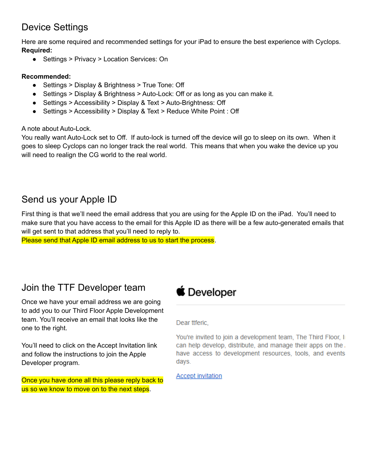#### Device Settings

Here are some required and recommended settings for your iPad to ensure the best experience with Cyclops. **Required:**

● Settings > Privacy > Location Services: On

#### **Recommended:**

- Settings > Display & Brightness > True Tone: Off
- Settings > Display & Brightness > Auto-Lock: Off or as long as you can make it.
- Settings > Accessibility > Display & Text > Auto-Brightness: Off
- Settings > Accessibility > Display & Text > Reduce White Point : Off

A note about Auto-Lock.

You really want Auto-Lock set to Off. If auto-lock is turned off the device will go to sleep on its own. When it goes to sleep Cyclops can no longer track the real world. This means that when you wake the device up you will need to realign the CG world to the real world.

#### Send us your Apple ID

First thing is that we'll need the email address that you are using for the Apple ID on the iPad. You'll need to make sure that you have access to the email for this Apple ID as there will be a few auto-generated emails that will get sent to that address that you'll need to reply to.

Please send that Apple ID email address to us to start the process.

#### Join the TTF Developer team

Once we have your email address we are going to add you to our Third Floor Apple Development team. You'll receive an email that looks like the one to the right.

You'll need to click on the Accept Invitation link and follow the instructions to join the Apple Developer program.

Once you have done all this please reply back to us so we know to move on to the next steps.

## **≸** Developer

Dear ttferic.

You're invited to join a development team. The Third Floor, II can help develop, distribute, and manage their apps on the. have access to development resources, tools, and events days.

**Accept invitation**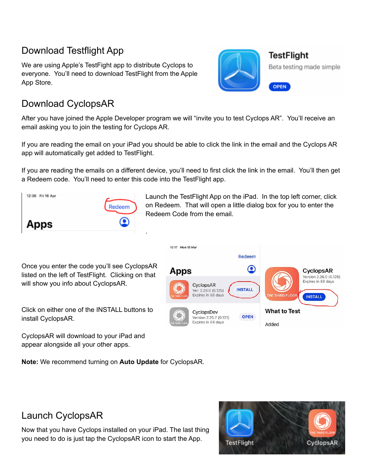#### Download Testflight App

We are using Apple's TestFight app to distribute Cyclops to everyone. You'll need to download TestFlight from the Apple App Store.



**TestFlight** Beta testing made simple

**OPEN** 

#### Download CyclopsAR

After you have joined the Apple Developer program we will "invite you to test Cyclops AR". You'll receive an email asking you to join the testing for Cyclops AR.

If you are reading the email on your iPad you should be able to click the link in the email and the Cyclops AR app will automatically get added to TestFlight.

If you are reading the emails on a different device, you'll need to first click the link in the email. You'll then get a Redeem code. You'll need to enter this code into the TestFlight app.

10:17 Mon 15 Mar



Launch the TestFlight App on the iPad. In the top left corner, click on Redeem. That will open a little dialog box for you to enter the Redeem Code from the email.

Once you enter the code you'll see CyclopsAR listed on the left of TestFlight. Clicking on that will show you info about CyclopsAR.

Redeem  $\bf \odot$ Apps CyclopsAR Version 2.26.0 (0.125) Expires in 88 days CyclopsAR **INSTALL** Ver. 2.26.0 (0.125) Expires in 88 days **RD FLOO INSTALL What to Test** CyclopsDev **OPEN** Version 2.25.7 (0.121) Expires in 84 days Added

Click on either one of the INSTALL buttons to install CyclopsAR.

CyclopsAR will download to your iPad and appear alongside all your other apps.

**Note:** We recommend turning on **Auto Update** for CyclopsAR.



CyclopsAR



Now that you have Cyclops installed on your iPad. The last thing you need to do is just tap the CyclopsAR icon to start the App.